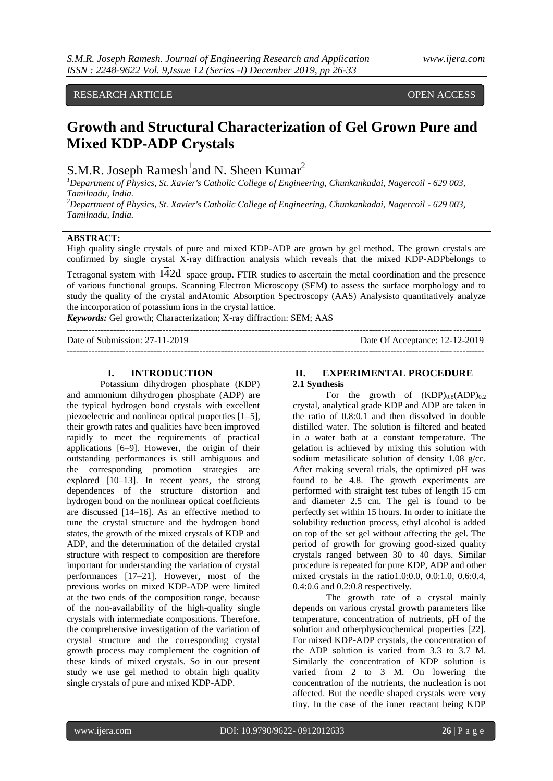# RESEARCH ARTICLE **CONSERVERS** OPEN ACCESS

# **Growth and Structural Characterization of Gel Grown Pure and Mixed KDP-ADP Crystals**

S.M.R. Joseph Ramesh<sup>1</sup>and N. Sheen Kumar<sup>2</sup>

*<sup>1</sup>Department of Physics, St. Xavier's Catholic College of Engineering, Chunkankadai, Nagercoil - 629 003, Tamilnadu, India.*

*<sup>2</sup>Department of Physics, St. Xavier's Catholic College of Engineering, Chunkankadai, Nagercoil - 629 003, Tamilnadu, India.*

# **ABSTRACT:**

High quality single crystals of pure and mixed KDP-ADP are grown by gel method. The grown crystals are confirmed by single crystal X-ray diffraction analysis which reveals that the mixed KDP-ADPbelongs to

Tetragonal system with I42d space group. FTIR studies to ascertain the metal coordination and the presence of various functional groups. Scanning Electron Microscopy (SEM**)** to assess the surface morphology and to study the quality of the crystal andAtomic Absorption Spectroscopy (AAS) Analysisto quantitatively analyze the incorporation of potassium ions in the crystal lattice.

--------------------------------------------------------------------------------------------------------------------------------------

*Keywords:* Gel growth; Characterization; X-ray diffraction: SEM; AAS

---------------------------------------------------------------------------------------------------------------------------------------

Date of Submission: 27-11-2019 Date Of Acceptance: 12-12-2019

## **I. INTRODUCTION**

Potassium dihydrogen phosphate (KDP) and ammonium dihydrogen phosphate (ADP) are the typical hydrogen bond crystals with excellent piezoelectric and nonlinear optical properties [1–5], their growth rates and qualities have been improved rapidly to meet the requirements of practical applications [6–9]. However, the origin of their outstanding performances is still ambiguous and the corresponding promotion strategies are explored [10–13]. In recent years, the strong dependences of the structure distortion and hydrogen bond on the nonlinear optical coefficients are discussed [14–16]. As an effective method to tune the crystal structure and the hydrogen bond states, the growth of the mixed crystals of KDP and ADP, and the determination of the detailed crystal structure with respect to composition are therefore important for understanding the variation of crystal performances [17–21]. However, most of the previous works on mixed KDP-ADP were limited at the two ends of the composition range, because of the non-availability of the high-quality single crystals with intermediate compositions. Therefore, the comprehensive investigation of the variation of crystal structure and the corresponding crystal growth process may complement the cognition of these kinds of mixed crystals. So in our present study we use gel method to obtain high quality single crystals of pure and mixed KDP-ADP.

# **II. EXPERIMENTAL PROCEDURE 2.1 Synthesis**

For the growth of  $(KDP)_{0.8}(ADP)_{0.2}$ crystal, analytical grade KDP and ADP are taken in the ratio of 0.8:0.1 and then dissolved in double distilled water. The solution is filtered and heated in a water bath at a constant temperature. The gelation is achieved by mixing this solution with sodium metasilicate solution of density 1.08 g/cc. After making several trials, the optimized pH was found to be 4.8. The growth experiments are performed with straight test tubes of length 15 cm and diameter 2.5 cm. The gel is found to be perfectly set within 15 hours. In order to initiate the solubility reduction process, ethyl alcohol is added on top of the set gel without affecting the gel. The period of growth for growing good-sized quality crystals ranged between 30 to 40 days. Similar procedure is repeated for pure KDP, ADP and other mixed crystals in the ratio1.0:0.0, 0.0:1.0, 0.6:0.4, 0.4:0.6 and 0.2:0.8 respectively.

The growth rate of a crystal mainly depends on various crystal growth parameters like temperature, concentration of nutrients, pH of the solution and otherphysicochemical properties [22]. For mixed KDP-ADP crystals, the concentration of the ADP solution is varied from 3.3 to 3.7 M. Similarly the concentration of KDP solution is varied from 2 to 3 M. On lowering the concentration of the nutrients, the nucleation is not affected. But the needle shaped crystals were very tiny. In the case of the inner reactant being KDP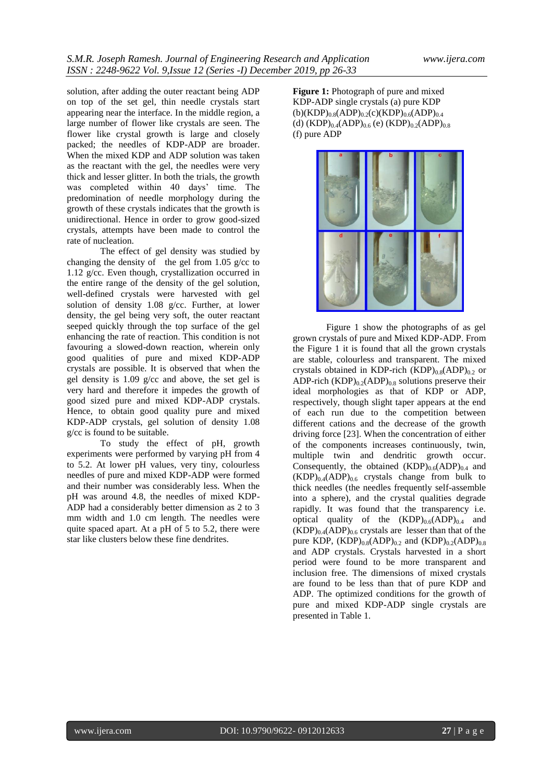solution, after adding the outer reactant being ADP on top of the set gel, thin needle crystals start appearing near the interface. In the middle region, a large number of flower like crystals are seen. The flower like crystal growth is large and closely packed; the needles of KDP-ADP are broader. When the mixed KDP and ADP solution was taken as the reactant with the gel, the needles were very thick and lesser glitter. In both the trials, the growth was completed within 40 days' time. The predomination of needle morphology during the growth of these crystals indicates that the growth is unidirectional. Hence in order to grow good-sized crystals, attempts have been made to control the rate of nucleation.

The effect of gel density was studied by changing the density of the gel from 1.05 g/cc to 1.12 g/cc. Even though, crystallization occurred in the entire range of the density of the gel solution, well-defined crystals were harvested with gel solution of density 1.08 g/cc. Further, at lower density, the gel being very soft, the outer reactant seeped quickly through the top surface of the gel enhancing the rate of reaction. This condition is not favouring a slowed-down reaction, wherein only good qualities of pure and mixed KDP-ADP crystals are possible. It is observed that when the gel density is 1.09 g/cc and above, the set gel is very hard and therefore it impedes the growth of good sized pure and mixed KDP-ADP crystals. Hence, to obtain good quality pure and mixed KDP-ADP crystals, gel solution of density 1.08 g/cc is found to be suitable.

To study the effect of pH, growth experiments were performed by varying pH from 4 to 5.2. At lower pH values, very tiny, colourless needles of pure and mixed KDP-ADP were formed and their number was considerably less. When the pH was around 4.8, the needles of mixed KDP-ADP had a considerably better dimension as 2 to 3 mm width and 1.0 cm length. The needles were quite spaced apart. At a pH of 5 to 5.2, there were star like clusters below these fine dendrites.

**Figure 1:** Photograph of pure and mixed KDP-ADP single crystals (a) pure KDP  $(b)(KDP)_{0.8}(ADP)_{0.2}(c)(KDP)_{0.6}(ADP)_{0.4}$ (d)  $(KDP)_{0.4}(ADP)_{0.6}$  (e)  $(KDP)_{0.2}(ADP)_{0.8}$ (f) pure ADP



Figure 1 show the photographs of as gel grown crystals of pure and Mixed KDP-ADP. From the Figure 1 it is found that all the grown crystals are stable, colourless and transparent. The mixed crystals obtained in KDP-rich  $(KDP)_{0.8}(ADP)_{0.2}$  or ADP-rich  $(KDP)_{0.2}(ADP)_{0.8}$  solutions preserve their ideal morphologies as that of KDP or ADP, respectively, though slight taper appears at the end of each run due to the competition between different cations and the decrease of the growth driving force [23]. When the concentration of either of the components increases continuously, twin, multiple twin and dendritic growth occur. Consequently, the obtained  $(KDP)_{0.6}(ADP)_{0.4}$  and  $(KDP)_{0.4}(ADP)_{0.6}$  crystals change from bulk to thick needles (the needles frequently self-assemble into a sphere), and the crystal qualities degrade rapidly. It was found that the transparency i.e. optical quality of the  $(KDP)_{0.6}(ADP)_{0.4}$  and  $(KDP)_{0.4}(ADP)_{0.6}$  crystals are lesser than that of the pure KDP,  $(KDP)_{0.8}(ADP)_{0.2}$  and  $(KDP)_{0.2}(ADP)_{0.8}$ and ADP crystals. Crystals harvested in a short period were found to be more transparent and inclusion free. The dimensions of mixed crystals are found to be less than that of pure KDP and ADP. The optimized conditions for the growth of pure and mixed KDP-ADP single crystals are presented in Table 1.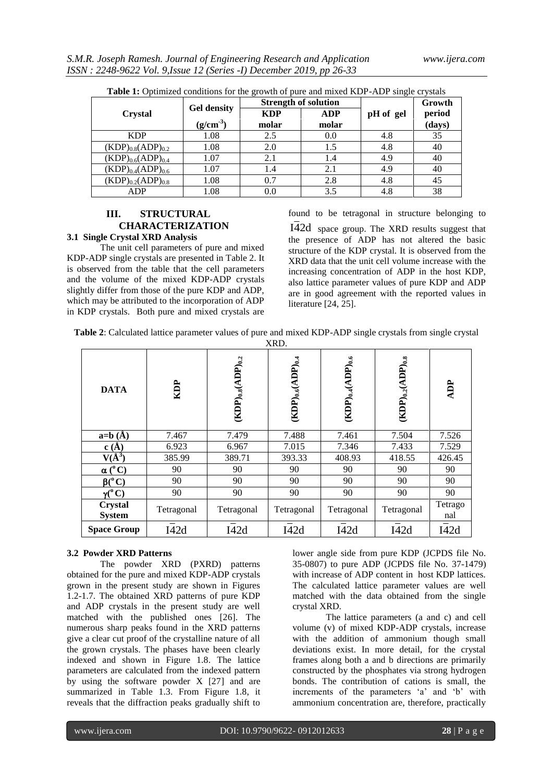| <b>Table 1:</b> Optimized conditions for the growth of pure and mixed KDF-ADF single crystals |                      |                             |            |           |        |  |
|-----------------------------------------------------------------------------------------------|----------------------|-----------------------------|------------|-----------|--------|--|
|                                                                                               | <b>Gel density</b>   | <b>Strength of solution</b> |            |           | Growth |  |
| Crystal                                                                                       |                      | <b>KDP</b>                  | <b>ADP</b> | pH of gel | period |  |
|                                                                                               | (g/cm <sup>3</sup> ) | molar                       | molar      |           | (days) |  |
| <b>KDP</b>                                                                                    | 1.08                 | 2.5                         | 0.0        | 4.8       | 35     |  |
| $(KDP)_{0.8}(ADP)_{0.2}$                                                                      | 1.08                 | 2.0                         | 1.5        | 4.8       | 40     |  |
| $(KDP)_{0.6}(ADP)_{0.4}$                                                                      | 1.07                 | 2.1                         | 1.4        | 4.9       | 40     |  |
| $(KDP)_{0.4}(ADP)_{0.6}$                                                                      | 1.07                 | 1.4                         | 2.1        | 4.9       | 40     |  |
| $(KDP)_{0.2}(ADP)_{0.8}$                                                                      | 1.08                 | 0.7                         | 2.8        | 4.8       | 45     |  |
| ADP                                                                                           | 1.08                 | 0.0                         | 3.5        | 4.8       | 38     |  |

**Table 1:** Optimized conditions for the growth of pure and mixed KDP-ADP single crystals

## **III. STRUCTURAL CHARACTERIZATION 3.1 Single Crystal XRD Analysis**

The unit cell parameters of pure and mixed KDP-ADP single crystals are presented in Table 2. It is observed from the table that the cell parameters and the volume of the mixed KDP-ADP crystals slightly differ from those of the pure KDP and ADP, which may be attributed to the incorporation of ADP in KDP crystals. Both pure and mixed crystals are

found to be tetragonal in structure belonging to

I42d space group. The XRD results suggest that the presence of ADP has not altered the basic structure of the KDP crystal. It is observed from the XRD data that the unit cell volume increase with the increasing concentration of ADP in the host KDP, also lattice parameter values of pure KDP and ADP are in good agreement with the reported values in literature [24, 25].

| Table 2: Calculated lattice parameter values of pure and mixed KDP-ADP single crystals from single crystal |  |  |  |  |  |  |
|------------------------------------------------------------------------------------------------------------|--|--|--|--|--|--|
|                                                                                                            |  |  |  |  |  |  |

| AKD.                     |            |                                        |                                            |                                            |                                        |                |
|--------------------------|------------|----------------------------------------|--------------------------------------------|--------------------------------------------|----------------------------------------|----------------|
| <b>DATA</b>              | KDP        | $(\text{KDP})_{0.8}(\text{ADP})_{0.2}$ | $(\mathrm{KDP})_{0.6}(\mathrm{ADP})_{0.4}$ | $(\mathbf{KDP})_{0.4}(\mathbf{ADP})_{0.6}$ | $(\text{KDP})_{0.2}(\text{ADP})_{0.8}$ | ADP            |
| $a=b(A)$                 | 7.467      | 7.479                                  | 7.488                                      | 7.461                                      | 7.504                                  | 7.526          |
| c(A)                     | 6.923      | 6.967                                  | 7.015                                      | 7.346                                      | 7.433                                  | 7.529          |
| $V(\AA^3)$               | 385.99     | 389.71                                 | 393.33                                     | 408.93                                     | 418.55                                 | 426.45         |
| $\alpha(^{\circ}C)$      | 90         | 90                                     | 90                                         | 90                                         | 90                                     | 90             |
| $\beta(^{\circ}C)$       | 90         | 90                                     | 90                                         | 90                                         | 90                                     | 90             |
| $\gamma(^0C)$            | 90         | 90                                     | 90                                         | 90                                         | 90                                     | 90             |
| Crystal<br><b>System</b> | Tetragonal | Tetragonal                             | Tetragonal                                 | Tetragonal                                 | Tetragonal                             | Tetrago<br>nal |
| <b>Space Group</b>       | I42d       | I42d                                   | I42d                                       | I42d                                       | I42d                                   | I42d           |

## **3.2 Powder XRD Patterns**

The powder XRD (PXRD) patterns obtained for the pure and mixed KDP-ADP crystals grown in the present study are shown in Figures 1.2-1.7. The obtained XRD patterns of pure KDP and ADP crystals in the present study are well matched with the published ones [26]. The numerous sharp peaks found in the XRD patterns give a clear cut proof of the crystalline nature of all the grown crystals. The phases have been clearly indexed and shown in Figure 1.8. The lattice parameters are calculated from the indexed pattern by using the software powder X [27] and are summarized in Table 1.3. From Figure 1.8, it reveals that the diffraction peaks gradually shift to

lower angle side from pure KDP (JCPDS file No. 35-0807) to pure ADP (JCPDS file No. 37-1479) with increase of ADP content in host KDP lattices. The calculated lattice parameter values are well matched with the data obtained from the single crystal XRD.

The lattice parameters (a and c) and cell volume (v) of mixed KDP-ADP crystals, increase with the addition of ammonium though small deviations exist. In more detail, for the crystal frames along both a and b directions are primarily constructed by the phosphates via strong hydrogen bonds. The contribution of cations is small, the increments of the parameters 'a' and 'b' with ammonium concentration are, therefore, practically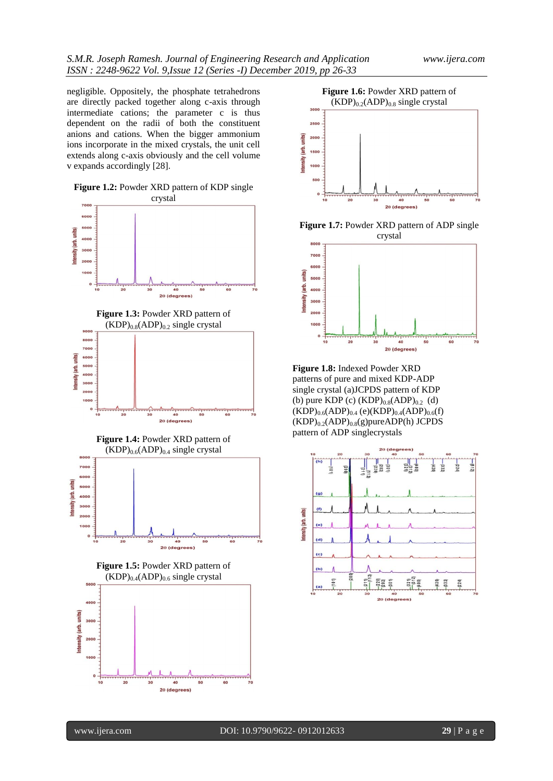negligible. Oppositely, the phosphate tetrahedrons are directly packed together along c-axis through intermediate cations; the parameter c is thus dependent on the radii of both the constituent anions and cations. When the bigger ammonium ions incorporate in the mixed crystals, the unit cell extends along c-axis obviously and the cell volume v expands accordingly [28].













**Figure 1.7:** Powder XRD pattern of ADP single crystal



**Figure 1.8:** Indexed Powder XRD patterns of pure and mixed KDP-ADP single crystal (a)JCPDS pattern of KDP (b) pure KDP (c)  $(KDP)_{0.8}(ADP)_{0.2}$  (d)  $(KDP)_{0.6}(ADP)_{0.4}$  (e) $(KDP)_{0.4}(ADP)_{0.6}(f)$  $(KDP)_{0.2}(ADP)_{0.8}(g)$ pure $ADP(h)$  JCPDS pattern of ADP singlecrystals

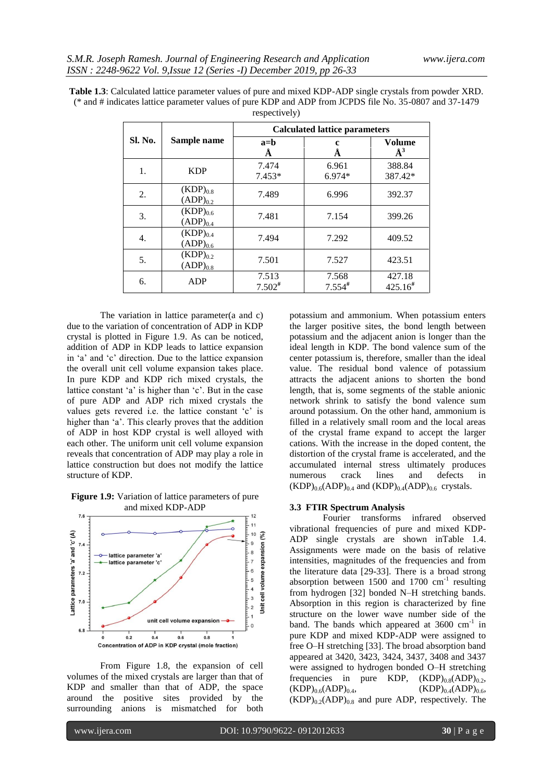|         |                                | <b>Calculated lattice parameters</b> |                               |                         |  |  |
|---------|--------------------------------|--------------------------------------|-------------------------------|-------------------------|--|--|
| Sl. No. | Sample name                    | $a = b$<br>Ă                         | A                             | Volume<br>$\AA^3$       |  |  |
| 1.      | <b>KDP</b>                     | 7.474<br>$7.453*$                    | 6.961<br>$6.974*$             | 388.84<br>387.42*       |  |  |
| 2.      | $(KDP)_{0.8}$<br>$(ADP)_{0.2}$ | 7.489                                | 6.996                         | 392.37                  |  |  |
| 3.      | $(KDP)_{0.6}$<br>$(ADP)_{0.4}$ | 7.481                                | 7.154                         | 399.26                  |  |  |
| 4.      | $(KDP)_{0.4}$<br>$(ADP)_{0.6}$ | 7.494                                | 7.292                         | 409.52                  |  |  |
| 5.      | $(KDP)_{0.2}$<br>$(ADP)_{0.8}$ | 7.501                                | 7.527                         | 423.51                  |  |  |
| 6.      | ADP                            | 7.513<br>$7.502$ <sup>#</sup>        | 7.568<br>$7.554$ <sup>#</sup> | 427.18<br>$425.16^{\#}$ |  |  |

**Table 1.3**: Calculated lattice parameter values of pure and mixed KDP-ADP single crystals from powder XRD. (\* and # indicates lattice parameter values of pure KDP and ADP from JCPDS file No. 35-0807 and 37-1479 respectively)

The variation in lattice parameter(a and c) due to the variation of concentration of ADP in KDP crystal is plotted in Figure 1.9. As can be noticed, addition of ADP in KDP leads to lattice expansion in 'a' and 'c' direction. Due to the lattice expansion the overall unit cell volume expansion takes place. In pure KDP and KDP rich mixed crystals, the lattice constant 'a' is higher than 'c'. But in the case of pure ADP and ADP rich mixed crystals the values gets revered i.e. the lattice constant 'c' is higher than 'a'. This clearly proves that the addition of ADP in host KDP crystal is well alloyed with each other. The uniform unit cell volume expansion reveals that concentration of ADP may play a role in lattice construction but does not modify the lattice structure of KDP.

**Figure 1.9:** Variation of lattice parameters of pure and mixed KDP-ADP



From Figure 1.8, the expansion of cell volumes of the mixed crystals are larger than that of KDP and smaller than that of ADP, the space around the positive sites provided by the surrounding anions is mismatched for both

potassium and ammonium. When potassium enters the larger positive sites, the bond length between potassium and the adjacent anion is longer than the ideal length in KDP. The bond valence sum of the center potassium is, therefore, smaller than the ideal value. The residual bond valence of potassium attracts the adjacent anions to shorten the bond length, that is, some segments of the stable anionic network shrink to satisfy the bond valence sum around potassium. On the other hand, ammonium is filled in a relatively small room and the local areas of the crystal frame expand to accept the larger cations. With the increase in the doped content, the distortion of the crystal frame is accelerated, and the accumulated internal stress ultimately produces numerous crack lines and defects in  $(KDP)_{0.6}(ADP)_{0.4}$  and  $(KDP)_{0.4}(ADP)_{0.6}$  crystals.

#### **3.3 FTIR Spectrum Analysis**

Fourier transforms infrared observed vibrational frequencies of pure and mixed KDP-ADP single crystals are shown inTable 1.4. Assignments were made on the basis of relative intensities, magnitudes of the frequencies and from the literature data [29-33]. There is a broad strong absorption between  $1500$  and  $1700$   $cm^{-1}$  resulting from hydrogen [32] bonded N–H stretching bands. Absorption in this region is characterized by fine structure on the lower wave number side of the band. The bands which appeared at  $3600 \text{ cm}^{-1}$  in pure KDP and mixed KDP-ADP were assigned to free O–H stretching [33]. The broad absorption band appeared at 3420, 3423, 3424, 3437, 3408 and 3437 were assigned to hydrogen bonded O–H stretching frequencies in pure KDP,  $(KDP)_{0.8}(ADP)_{0.2}$ ,  $(KDP)_{0.6}(ADP)_{0.4}$ ,  $(KDP)_{0.4}(ADP)_{0.6}$  $(KDP)_{0.2}(ADP)_{0.8}$  and pure ADP, respectively. The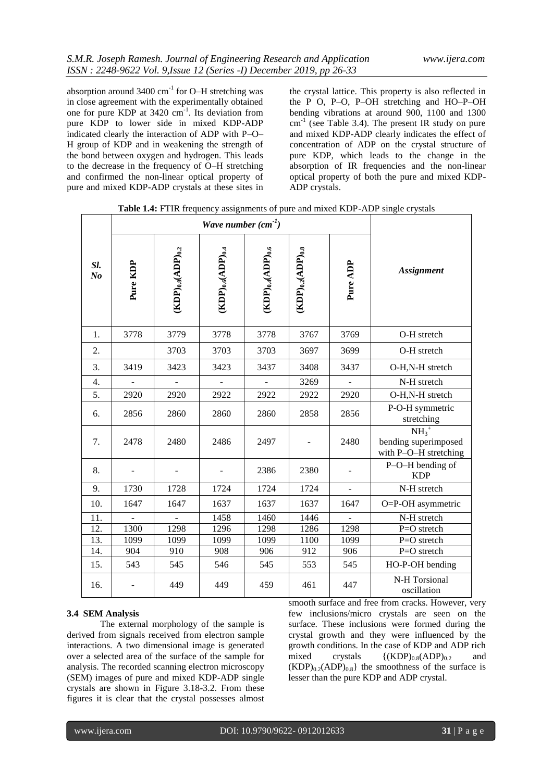absorption around  $3400 \text{ cm}^{-1}$  for O-H stretching was in close agreement with the experimentally obtained one for pure KDP at 3420 cm<sup>-1</sup>. Its deviation from pure KDP to lower side in mixed KDP-ADP indicated clearly the interaction of ADP with P–O– H group of KDP and in weakening the strength of the bond between oxygen and hydrogen. This leads to the decrease in the frequency of O–H stretching and confirmed the non-linear optical property of pure and mixed KDP-ADP crystals at these sites in

the crystal lattice. This property is also reflected in the P O, P–O, P–OH stretching and HO–P–OH bending vibrations at around 900, 1100 and 1300 cm<sup>-1</sup> (see Table 3.4). The present IR study on pure and mixed KDP-ADP clearly indicates the effect of concentration of ADP on the crystal structure of pure KDP, which leads to the change in the absorption of IR frequencies and the non-linear optical property of both the pure and mixed KDP-ADP crystals.

|                       | Wave number $(cm^{-1})$ |                                        |                                            |                                        |                                        |                          |                                                         |
|-----------------------|-------------------------|----------------------------------------|--------------------------------------------|----------------------------------------|----------------------------------------|--------------------------|---------------------------------------------------------|
| Sl.<br>N <sub>o</sub> | Pure KDP                | $(\text{KDP})_{0.8}(\text{ADP})_{0.2}$ | $(\mathrm{KDP})_{0.6}(\mathrm{ADP})_{0.4}$ | $(\text{KDP})_{0.4}(\text{ADP})_{0.6}$ | $(\text{KDP})_{0.2}(\text{ADP})_{0.8}$ | Pure ADP                 | <b>Assignment</b>                                       |
| 1.                    | 3778                    | 3779                                   | 3778                                       | 3778                                   | 3767                                   | 3769                     | O-H stretch                                             |
| 2.                    |                         | 3703                                   | 3703                                       | 3703                                   | 3697                                   | 3699                     | O-H stretch                                             |
| 3.                    | 3419                    | 3423                                   | 3423                                       | 3437                                   | 3408                                   | 3437                     | O-H,N-H stretch                                         |
| 4.                    |                         |                                        |                                            |                                        | 3269                                   |                          | N-H stretch                                             |
| 5.                    | 2920                    | 2920                                   | 2922                                       | 2922                                   | 2922                                   | 2920                     | O-H,N-H stretch                                         |
| 6.                    | 2856                    | 2860                                   | 2860                                       | 2860                                   | 2858                                   | 2856                     | P-O-H symmetric<br>stretching                           |
| 7.                    | 2478                    | 2480                                   | 2486                                       | 2497                                   |                                        | 2480                     | $NH3+$<br>bending superimposed<br>with P-O-H stretching |
| 8.                    |                         |                                        |                                            | 2386                                   | 2380                                   |                          | P-O-H bending of<br><b>KDP</b>                          |
| 9.                    | 1730                    | 1728                                   | 1724                                       | 1724                                   | 1724                                   | $\overline{\phantom{0}}$ | N-H stretch                                             |
| 10.                   | 1647                    | 1647                                   | 1637                                       | 1637                                   | 1637                                   | 1647                     | O=P-OH asymmetric                                       |
| 11.                   |                         |                                        | 1458                                       | 1460                                   | 1446                                   |                          | N-H stretch                                             |
| 12.                   | 1300                    | 1298                                   | 1296                                       | 1298                                   | 1286                                   | 1298                     | P=O stretch                                             |
| 13.                   | 1099                    | 1099                                   | 1099                                       | 1099                                   | 1100                                   | 1099                     | P=O stretch                                             |
| 14.                   | 904                     | 910                                    | 908                                        | 906                                    | 912                                    | 906                      | P=O stretch                                             |
| 15.                   | 543                     | 545                                    | 546                                        | 545                                    | 553                                    | 545                      | HO-P-OH bending                                         |
| 16.                   |                         | 449                                    | 449                                        | 459                                    | 461                                    | 447                      | N-H Torsional<br>oscillation                            |

**Table 1.4:** FTIR frequency assignments of pure and mixed KDP-ADP single crystals

### **3.4 SEM Analysis**

The external morphology of the sample is derived from signals received from electron sample interactions. A two dimensional image is generated over a selected area of the surface of the sample for analysis. The recorded scanning electron microscopy (SEM) images of pure and mixed KDP-ADP single crystals are shown in Figure 3.18-3.2. From these figures it is clear that the crystal possesses almost smooth surface and free from cracks. However, very few inclusions/micro crystals are seen on the surface. These inclusions were formed during the crystal growth and they were influenced by the growth conditions. In the case of KDP and ADP rich mixed crystals  $\{(KDP)_{0.8}(ADP)_{0.2}$  and  $(KDP)_{0.2}(ADP)_{0.8}$  the smoothness of the surface is lesser than the pure KDP and ADP crystal.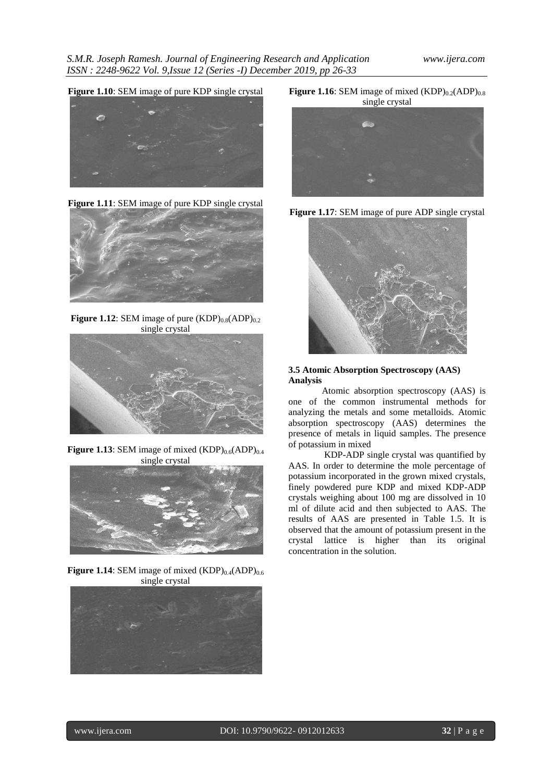**Figure 1.10**: SEM image of pure KDP single crystal



**Figure 1.11**: SEM image of pure KDP single crystal



**Figure 1.12**: SEM image of pure  $(KDP)_{0.8}(ADP)_{0.2}$ single crystal



**Figure 1.13**: SEM image of mixed  $(KDP)_{0.6}(ADP)_{0.4}$ single crystal



**Figure 1.14**: SEM image of mixed  $(KDP)_{0.4}(ADP)_{0.6}$ single crystal



**Figure 1.16**: SEM image of mixed  $(KDP)_{0.2}(ADP)_{0.8}$ single crystal







## **3.5 Atomic Absorption Spectroscopy (AAS) Analysis**

Atomic absorption spectroscopy (AAS) is one of the common instrumental methods for analyzing the metals and some metalloids. Atomic absorption spectroscopy (AAS) determines the presence of metals in liquid samples. The presence of potassium in mixed

KDP-ADP single crystal was quantified by AAS. In order to determine the mole percentage of potassium incorporated in the grown mixed crystals, finely powdered pure KDP and mixed KDP-ADP crystals weighing about 100 mg are dissolved in 10 ml of dilute acid and then subjected to AAS. The results of AAS are presented in Table 1.5. It is observed that the amount of potassium present in the crystal lattice is higher than its original concentration in the solution.